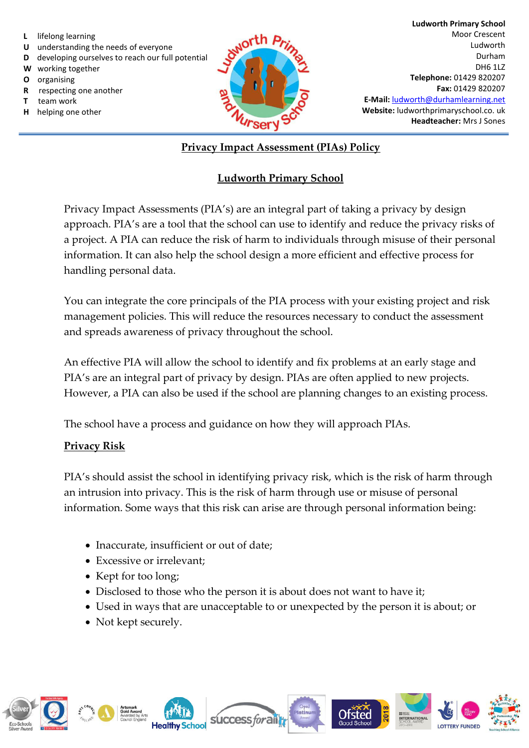- **L** lifelong learning
- **U** understanding the needs of everyone
- **D** developing ourselves to reach our full potential
- **W** working together
- **O** organising
- **R** respecting one another
- **T** team work
- **H** helping one other



**Ludworth Primary School**  Moor Crescent Ludworth Durham DH6 1LZ **Telephone:** 01429 820207 **Fax:** 01429 820207 **E-Mail:** [ludworth@durhamlearning.net](mailto:ludworth@durhamlearning.net) **Website:** ludworthprimaryschool.co. uk **Headteacher:** Mrs J Sones

#### **Privacy Impact Assessment (PIAs) Policy**

# **Ludworth Primary School**

Privacy Impact Assessments (PIA's) are an integral part of taking a privacy by design approach. PIA's are a tool that the school can use to identify and reduce the privacy risks of a project. A PIA can reduce the risk of harm to individuals through misuse of their personal information. It can also help the school design a more efficient and effective process for handling personal data.

You can integrate the core principals of the PIA process with your existing project and risk management policies. This will reduce the resources necessary to conduct the assessment and spreads awareness of privacy throughout the school.

An effective PIA will allow the school to identify and fix problems at an early stage and PIA's are an integral part of privacy by design. PIAs are often applied to new projects. However, a PIA can also be used if the school are planning changes to an existing process.

The school have a process and guidance on how they will approach PIAs.

# **Privacy Risk**

PIA's should assist the school in identifying privacy risk, which is the risk of harm through an intrusion into privacy. This is the risk of harm through use or misuse of personal information. Some ways that this risk can arise are through personal information being:

- Inaccurate, insufficient or out of date;
- Excessive or irrelevant;
- Kept for too long;
- Disclosed to those who the person it is about does not want to have it;
- Used in ways that are unacceptable to or unexpected by the person it is about; or
- Not kept securely.

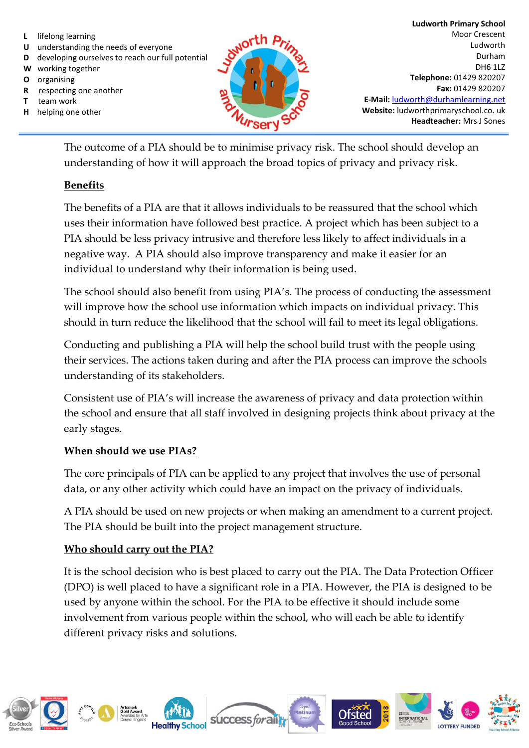- **L** lifelong learning
- **U** understanding the needs of everyone
- **D** developing ourselves to reach our full potential
- **W** working together
- **O** organising
- **R** respecting one another
- **T** team work
- **H** helping one other



**Ludworth Primary School**  Moor Crescent Ludworth Durham DH6 1LZ **Telephone:** 01429 820207 **Fax:** 01429 820207 **E-Mail:** [ludworth@durhamlearning.net](mailto:ludworth@durhamlearning.net) **Website:** ludworthprimaryschool.co. uk **Headteacher:** Mrs J Sones

The outcome of a PIA should be to minimise privacy risk. The school should develop an understanding of how it will approach the broad topics of privacy and privacy risk.

# **Benefits**

The benefits of a PIA are that it allows individuals to be reassured that the school which uses their information have followed best practice. A project which has been subject to a PIA should be less privacy intrusive and therefore less likely to affect individuals in a negative way. A PIA should also improve transparency and make it easier for an individual to understand why their information is being used.

The school should also benefit from using PIA's. The process of conducting the assessment will improve how the school use information which impacts on individual privacy. This should in turn reduce the likelihood that the school will fail to meet its legal obligations.

Conducting and publishing a PIA will help the school build trust with the people using their services. The actions taken during and after the PIA process can improve the schools understanding of its stakeholders.

Consistent use of PIA's will increase the awareness of privacy and data protection within the school and ensure that all staff involved in designing projects think about privacy at the early stages.

# **When should we use PIAs?**

The core principals of PIA can be applied to any project that involves the use of personal data, or any other activity which could have an impact on the privacy of individuals.

A PIA should be used on new projects or when making an amendment to a current project. The PIA should be built into the project management structure.

# **Who should carry out the PIA?**

It is the school decision who is best placed to carry out the PIA. The Data Protection Officer (DPO) is well placed to have a significant role in a PIA. However, the PIA is designed to be used by anyone within the school. For the PIA to be effective it should include some involvement from various people within the school, who will each be able to identify different privacy risks and solutions.